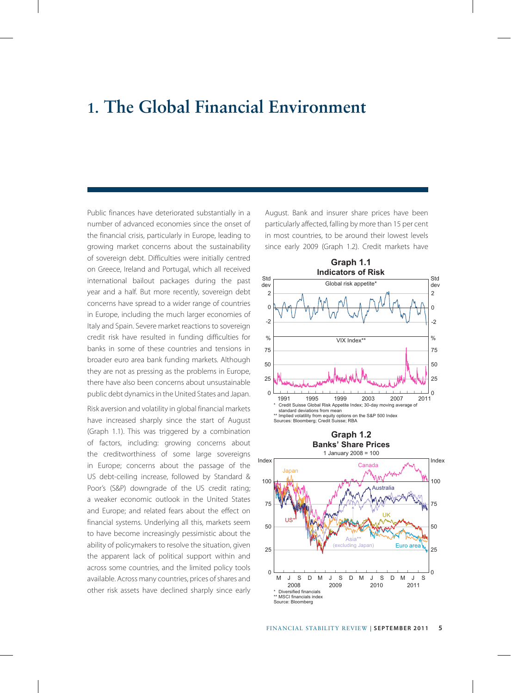# **1. The Global Financial Environment**

Public finances have deteriorated substantially in a number of advanced economies since the onset of the financial crisis, particularly in Europe, leading to growing market concerns about the sustainability of sovereign debt. Difficulties were initially centred on Greece, Ireland and Portugal, which all received international bailout packages during the past year and a half. But more recently, sovereign debt concerns have spread to a wider range of countries in Europe, including the much larger economies of Italy and Spain. Severe market reactions to sovereign credit risk have resulted in funding difficulties for banks in some of these countries and tensions in broader euro area bank funding markets. Although they are not as pressing as the problems in Europe, there have also been concerns about unsustainable public debt dynamics in the United States and Japan.

Risk aversion and volatility in global financial markets have increased sharply since the start of August (Graph 1.1). This was triggered by a combination of factors, including: growing concerns about the creditworthiness of some large sovereigns in Europe; concerns about the passage of the US debt-ceiling increase, followed by Standard & Poor's (S&P) downgrade of the US credit rating; a weaker economic outlook in the United States and Europe; and related fears about the effect on financial systems. Underlying all this, markets seem to have become increasingly pessimistic about the ability of policymakers to resolve the situation, given the apparent lack of political support within and across some countries, and the limited policy tools available. Across many countries, prices of shares and other risk assets have declined sharply since early

August. Bank and insurer share prices have been particularly affected, falling by more than 15 per cent in most countries, to be around their lowest levels since early 2009 (Graph 1.2). Credit markets have



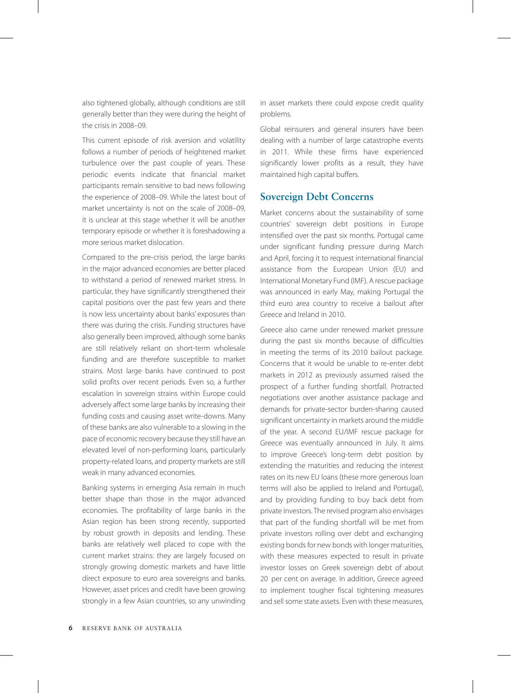also tightened globally, although conditions are still generally better than they were during the height of the crisis in 2008–09.

This current episode of risk aversion and volatility follows a number of periods of heightened market turbulence over the past couple of years. These periodic events indicate that financial market participants remain sensitive to bad news following the experience of 2008–09. While the latest bout of market uncertainty is not on the scale of 2008–09, it is unclear at this stage whether it will be another temporary episode or whether it is foreshadowing a more serious market dislocation.

Compared to the pre-crisis period, the large banks in the major advanced economies are better placed to withstand a period of renewed market stress. In particular, they have significantly strengthened their capital positions over the past few years and there is now less uncertainty about banks' exposures than there was during the crisis. Funding structures have also generally been improved, although some banks are still relatively reliant on short-term wholesale funding and are therefore susceptible to market strains. Most large banks have continued to post solid profits over recent periods. Even so, a further escalation in sovereign strains within Europe could adversely affect some large banks by increasing their funding costs and causing asset write-downs. Many of these banks are also vulnerable to a slowing in the pace of economic recovery because they still have an elevated level of non-performing loans, particularly property-related loans, and property markets are still weak in many advanced economies.

Banking systems in emerging Asia remain in much better shape than those in the major advanced economies. The profitability of large banks in the Asian region has been strong recently, supported by robust growth in deposits and lending. These banks are relatively well placed to cope with the current market strains: they are largely focused on strongly growing domestic markets and have little direct exposure to euro area sovereigns and banks. However, asset prices and credit have been growing strongly in a few Asian countries, so any unwinding

in asset markets there could expose credit quality problems.

Global reinsurers and general insurers have been dealing with a number of large catastrophe events in 2011. While these firms have experienced significantly lower profits as a result, they have maintained high capital buffers.

#### **Sovereign Debt Concerns**

Market concerns about the sustainability of some countries' sovereign debt positions in Europe intensified over the past six months. Portugal came under significant funding pressure during March and April, forcing it to request international financial assistance from the European Union (EU) and International Monetary Fund (IMF). A rescue package was announced in early May, making Portugal the third euro area country to receive a bailout after Greece and Ireland in 2010.

Greece also came under renewed market pressure during the past six months because of difficulties in meeting the terms of its 2010 bailout package. Concerns that it would be unable to re-enter debt markets in 2012 as previously assumed raised the prospect of a further funding shortfall. Protracted negotiations over another assistance package and demands for private-sector burden-sharing caused significant uncertainty in markets around the middle of the year. A second EU/IMF rescue package for Greece was eventually announced in July. It aims to improve Greece's long-term debt position by extending the maturities and reducing the interest rates on its new EU loans (these more generous loan terms will also be applied to Ireland and Portugal), and by providing funding to buy back debt from private investors. The revised program also envisages that part of the funding shortfall will be met from private investors rolling over debt and exchanging existing bonds for new bonds with longer maturities, with these measures expected to result in private investor losses on Greek sovereign debt of about 20 per cent on average. In addition, Greece agreed to implement tougher fiscal tightening measures and sell some state assets. Even with these measures,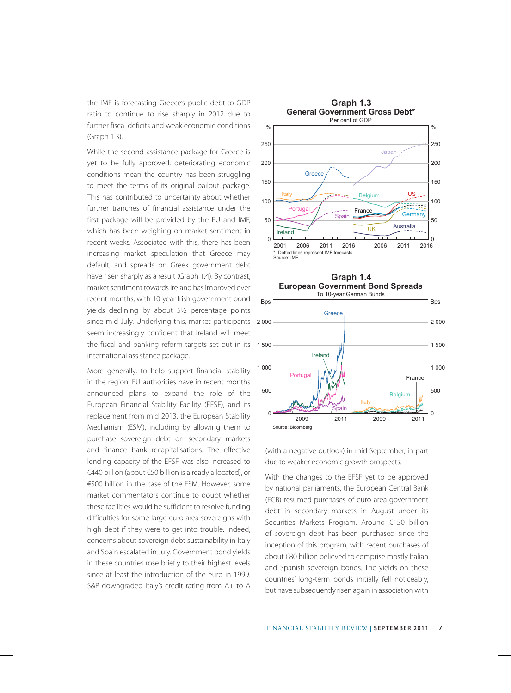the IMF is forecasting Greece's public debt-to-GDP ratio to continue to rise sharply in 2012 due to further fiscal deficits and weak economic conditions (Graph 1.3).

While the second assistance package for Greece is yet to be fully approved, deteriorating economic conditions mean the country has been struggling to meet the terms of its original bailout package. This has contributed to uncertainty about whether further tranches of financial assistance under the first package will be provided by the EU and IMF, which has been weighing on market sentiment in recent weeks. Associated with this, there has been increasing market speculation that Greece may default, and spreads on Greek government debt have risen sharply as a result (Graph 1.4). By contrast, market sentiment towards Ireland has improved over recent months, with 10-year Irish government bond yields declining by about 5½ percentage points since mid July. Underlying this, market participants seem increasingly confident that Ireland will meet the fiscal and banking reform targets set out in its 1 500 international assistance package.

More generally, to help support financial stability in the region, EU authorities have in recent months announced plans to expand the role of the European Financial Stability Facility (EFSF), and its replacement from mid 2013, the European Stability Mechanism (ESM), including by allowing them to purchase sovereign debt on secondary markets and finance bank recapitalisations. The effective lending capacity of the EFSF was also increased to €440 billion (about €50 billion is already allocated), or €500 billion in the case of the ESM. However, some market commentators continue to doubt whether these facilities would be sufficient to resolve funding difficulties for some large euro area sovereigns with high debt if they were to get into trouble. Indeed, concerns about sovereign debt sustainability in Italy and Spain escalated in July. Government bond yields in these countries rose briefly to their highest levels since at least the introduction of the euro in 1999. S&P downgraded Italy's credit rating from A+ to A





(with a negative outlook) in mid September, in part due to weaker economic growth prospects.

With the changes to the EFSF yet to be approved by national parliaments, the European Central Bank (ECB) resumed purchases of euro area government debt in secondary markets in August under its Securities Markets Program. Around €150 billion of sovereign debt has been purchased since the inception of this program, with recent purchases of about €80 billion believed to comprise mostly Italian and Spanish sovereign bonds. The yields on these countries' long-term bonds initially fell noticeably, but have subsequently risen again in association with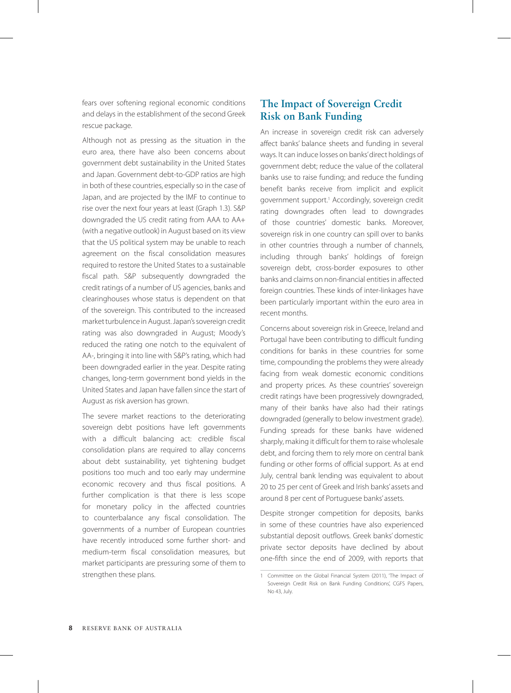fears over softening regional economic conditions and delays in the establishment of the second Greek rescue package.

Although not as pressing as the situation in the euro area, there have also been concerns about government debt sustainability in the United States and Japan. Government debt-to-GDP ratios are high in both of these countries, especially so in the case of Japan, and are projected by the IMF to continue to rise over the next four years at least (Graph 1.3). S&P downgraded the US credit rating from AAA to AA+ (with a negative outlook) in August based on its view that the US political system may be unable to reach agreement on the fiscal consolidation measures required to restore the United States to a sustainable fiscal path. S&P subsequently downgraded the credit ratings of a number of US agencies, banks and clearinghouses whose status is dependent on that of the sovereign. This contributed to the increased market turbulence in August. Japan's sovereign credit rating was also downgraded in August; Moody's reduced the rating one notch to the equivalent of AA-, bringing it into line with S&P's rating, which had been downgraded earlier in the year. Despite rating changes, long-term government bond yields in the United States and Japan have fallen since the start of August as risk aversion has grown.

The severe market reactions to the deteriorating sovereign debt positions have left governments with a difficult balancing act: credible fiscal consolidation plans are required to allay concerns about debt sustainability, yet tightening budget positions too much and too early may undermine economic recovery and thus fiscal positions. A further complication is that there is less scope for monetary policy in the affected countries to counterbalance any fiscal consolidation. The governments of a number of European countries have recently introduced some further short- and medium-term fiscal consolidation measures, but market participants are pressuring some of them to strengthen these plans.

# **The Impact of Sovereign Credit Risk on Bank Funding**

An increase in sovereign credit risk can adversely affect banks' balance sheets and funding in several ways. It can induce losses on banks' direct holdings of government debt; reduce the value of the collateral banks use to raise funding; and reduce the funding benefit banks receive from implicit and explicit government support.1 Accordingly, sovereign credit rating downgrades often lead to downgrades of those countries' domestic banks. Moreover, sovereign risk in one country can spill over to banks in other countries through a number of channels, including through banks' holdings of foreign sovereign debt, cross-border exposures to other banks and claims on non-financial entities in affected foreign countries. These kinds of inter-linkages have been particularly important within the euro area in recent months.

Concerns about sovereign risk in Greece, Ireland and Portugal have been contributing to difficult funding conditions for banks in these countries for some time, compounding the problems they were already facing from weak domestic economic conditions and property prices. As these countries' sovereign credit ratings have been progressively downgraded, many of their banks have also had their ratings downgraded (generally to below investment grade). Funding spreads for these banks have widened sharply, making it difficult for them to raise wholesale debt, and forcing them to rely more on central bank funding or other forms of official support. As at end July, central bank lending was equivalent to about 20 to 25 per cent of Greek and Irish banks' assets and around 8 per cent of Portuguese banks' assets.

Despite stronger competition for deposits, banks in some of these countries have also experienced substantial deposit outflows. Greek banks' domestic private sector deposits have declined by about one-fifth since the end of 2009, with reports that

<sup>1</sup> Committee on the Global Financial System (2011), 'The Impact of Sovereign Credit Risk on Bank Funding Conditions', CGFS Papers, No 43, July.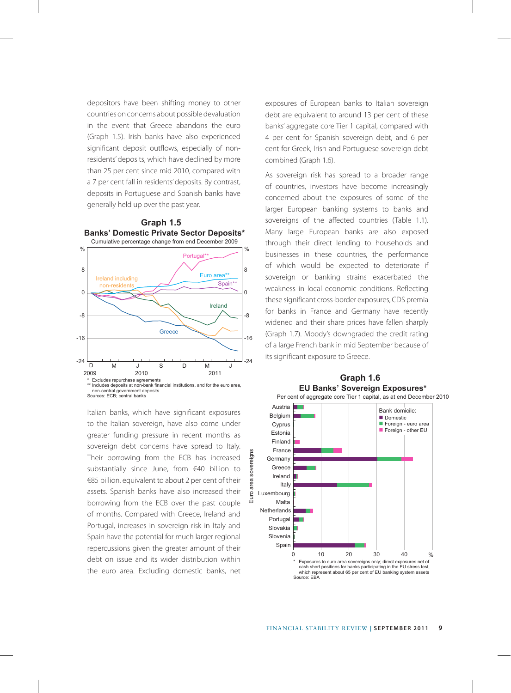depositors have been shifting money to other countries on concerns about possible devaluation in the event that Greece abandons the euro (Graph 1.5). Irish banks have also experienced significant deposit outflows, especially of nonresidents' deposits, which have declined by more than 25 per cent since mid 2010, compared with a 7 per cent fall in residents' deposits. By contrast, deposits in Portuguese and Spanish banks have generally held up over the past year.





Italian banks, which have significant exposures to the Italian sovereign, have also come under greater funding pressure in recent months as sovereign debt concerns have spread to Italy. Their borrowing from the ECB has increased substantially since June, from €40 billion to €85 billion, equivalent to about 2 per cent of their assets. Spanish banks have also increased their borrowing from the ECB over the past couple of months. Compared with Greece, Ireland and Portugal, increases in sovereign risk in Italy and Spain have the potential for much larger regional repercussions given the greater amount of their debt on issue and its wider distribution within the euro area. Excluding domestic banks, net exposures of European banks to Italian sovereign debt are equivalent to around 13 per cent of these banks' aggregate core Tier 1 capital, compared with 4 per cent for Spanish sovereign debt, and 6 per cent for Greek, Irish and Portuguese sovereign debt combined (Graph 1.6).

As sovereign risk has spread to a broader range of countries, investors have become increasingly concerned about the exposures of some of the larger European banking systems to banks and sovereigns of the affected countries (Table 1.1). Many large European banks are also exposed through their direct lending to households and businesses in these countries, the performance of which would be expected to deteriorate if sovereign or banking strains exacerbated the weakness in local economic conditions. Reflecting these significant cross-border exposures, CDS premia for banks in France and Germany have recently widened and their share prices have fallen sharply (Graph 1.7). Moody's downgraded the credit rating of a large French bank in mid September because of its significant exposure to Greece.



# **Graph 1.6**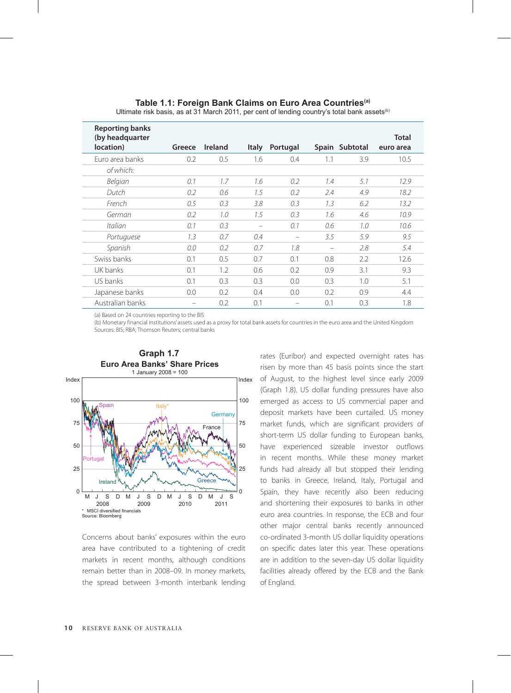# **Table 1.1: Foreign Bank Claims on Euro Area Countries(a)**

| <b>Reporting banks</b><br>(by headquarter<br>location) | Greece | <b>Ireland</b> | <b>Italy</b> | Portugal |     | Spain Subtotal | <b>Total</b><br>euro area |
|--------------------------------------------------------|--------|----------------|--------------|----------|-----|----------------|---------------------------|
| Euro area banks                                        | 0.2    | 0.5            | 1.6          | 0.4      | 1.1 | 3.9            | 10.5                      |
| of which:                                              |        |                |              |          |     |                |                           |
| Belgian                                                | 0.1    | 1.7            | 1.6          | 0.2      | 1.4 | 5.1            | 12.9                      |
| Dutch                                                  | 0.2    | 0.6            | 1.5          | 0.2      | 2.4 | 4.9            | 18.2                      |
| French                                                 | 0.5    | 0.3            | 3.8          | 0.3      | 1.3 | 6.2            | 13.2                      |
| German                                                 | 0.2    | 1.0            | 1.5          | 0.3      | 1.6 | 4.6            | 10.9                      |
| Italian                                                | 0.1    | 0.3            | -            | 0.1      | 0.6 | 1.0            | 10.6                      |
| Portuguese                                             | 1.3    | 0.7            | 0.4          |          | 3.5 | 5.9            | 9.5                       |
| Spanish                                                | 0.0    | 0.2            | 0.7          | 1.8      | -   | 2.8            | 5.4                       |
| Swiss banks                                            | 0.1    | 0.5            | 0.7          | 0.1      | 0.8 | 2.2            | 12.6                      |
| UK banks                                               | 0.1    | 1.2            | 0.6          | 0.2      | 0.9 | 3.1            | 9.3                       |
| U.S banks                                              | 0.1    | 0.3            | 0.3          | 0.0      | 0.3 | 1.0            | 5.1                       |
| Japanese banks                                         | 0.0    | 0.2            | 0.4          | 0.0      | 0.2 | 0.9            | 4.4                       |
| Australian banks                                       |        | 0.2            | 0.1          |          | 0.1 | 0.3            | 1.8                       |

Ultimate risk basis, as at 31 March 2011, per cent of lending country's total bank assets<sup>(b)</sup>

(a) Based on 24 countries reporting to the BIS

(b) Monetary financial institutions' assets used as a proxy for total bank assets for countries in the euro area and the United Kingdom Sources: BIS; RBA; Thomson Reuters; central banks



Concerns about banks' exposures within the euro area have contributed to a tightening of credit markets in recent months, although conditions remain better than in 2008–09. In money markets, the spread between 3-month interbank lending rates (Euribor) and expected overnight rates has risen by more than 45 basis points since the start of August, to the highest level since early 2009 (Graph 1.8). US dollar funding pressures have also emerged as access to US commercial paper and deposit markets have been curtailed. US money market funds, which are significant providers of short-term US dollar funding to European banks, have experienced sizeable investor outflows in recent months. While these money market funds had already all but stopped their lending to banks in Greece, Ireland, Italy, Portugal and Spain, they have recently also been reducing and shortening their exposures to banks in other euro area countries. In response, the ECB and four other major central banks recently announced co-ordinated 3-month US dollar liquidity operations on specific dates later this year. These operations are in addition to the seven-day US dollar liquidity facilities already offered by the ECB and the Bank of England.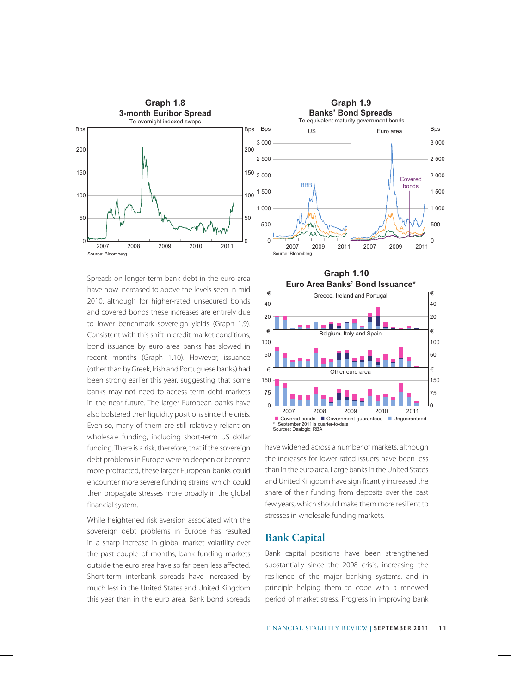

Spreads on longer-term bank debt in the euro area have now increased to above the levels seen in mid 2010, although for higher-rated unsecured bonds and covered bonds these increases are entirely due to lower benchmark sovereign yields (Graph 1.9). Consistent with this shift in credit market conditions, bond issuance by euro area banks has slowed in recent months (Graph 1.10). However, issuance (other than by Greek, Irish and Portuguese banks) had been strong earlier this year, suggesting that some banks may not need to access term debt markets in the near future. The larger European banks have also bolstered their liquidity positions since the crisis. Even so, many of them are still relatively reliant on wholesale funding, including short-term US dollar funding. There is a risk, therefore, that if the sovereign debt problems in Europe were to deepen or become more protracted, these larger European banks could encounter more severe funding strains, which could then propagate stresses more broadly in the global financial system.

While heightened risk aversion associated with the sovereign debt problems in Europe has resulted in a sharp increase in global market volatility over the past couple of months, bank funding markets outside the euro area have so far been less affected. Short-term interbank spreads have increased by much less in the United States and United Kingdom this year than in the euro area. Bank bond spreads





have widened across a number of markets, although the increases for lower-rated issuers have been less than in the euro area. Large banks in the United States and United Kingdom have significantly increased the share of their funding from deposits over the past few years, which should make them more resilient to stresses in wholesale funding markets.

#### **Bank Capital**

Bank capital positions have been strengthened substantially since the 2008 crisis, increasing the resilience of the major banking systems, and in principle helping them to cope with a renewed period of market stress. Progress in improving bank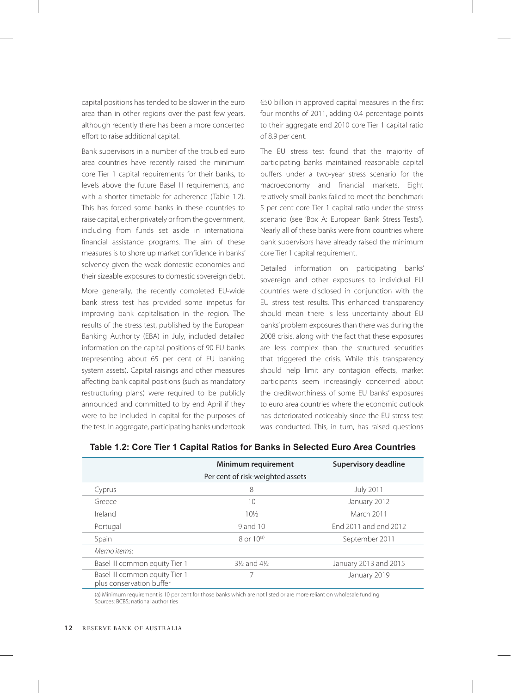capital positions has tended to be slower in the euro area than in other regions over the past few years, although recently there has been a more concerted effort to raise additional capital.

Bank supervisors in a number of the troubled euro area countries have recently raised the minimum core Tier 1 capital requirements for their banks, to levels above the future Basel III requirements, and with a shorter timetable for adherence (Table 1.2). This has forced some banks in these countries to raise capital, either privately or from the government, including from funds set aside in international financial assistance programs. The aim of these measures is to shore up market confidence in banks' solvency given the weak domestic economies and their sizeable exposures to domestic sovereign debt.

More generally, the recently completed EU-wide bank stress test has provided some impetus for improving bank capitalisation in the region. The results of the stress test, published by the European Banking Authority (EBA) in July, included detailed information on the capital positions of 90 EU banks (representing about 65 per cent of EU banking system assets). Capital raisings and other measures affecting bank capital positions (such as mandatory restructuring plans) were required to be publicly announced and committed to by end April if they were to be included in capital for the purposes of the test. In aggregate, participating banks undertook €50 billion in approved capital measures in the first four months of 2011, adding 0.4 percentage points to their aggregate end 2010 core Tier 1 capital ratio of 8.9 per cent.

The EU stress test found that the majority of participating banks maintained reasonable capital buffers under a two-year stress scenario for the macroeconomy and financial markets. Eight relatively small banks failed to meet the benchmark 5 per cent core Tier 1 capital ratio under the stress scenario (see 'Box A: European Bank Stress Tests'). Nearly all of these banks were from countries where bank supervisors have already raised the minimum core Tier 1 capital requirement.

Detailed information on participating banks' sovereign and other exposures to individual EU countries were disclosed in conjunction with the EU stress test results. This enhanced transparency should mean there is less uncertainty about EU banks' problem exposures than there was during the 2008 crisis, along with the fact that these exposures are less complex than the structured securities that triggered the crisis. While this transparency should help limit any contagion effects, market participants seem increasingly concerned about the creditworthiness of some EU banks' exposures to euro area countries where the economic outlook has deteriorated noticeably since the EU stress test was conducted. This, in turn, has raised questions

|                                                            | Minimum requirement               | Supervisory deadline  |
|------------------------------------------------------------|-----------------------------------|-----------------------|
|                                                            | Per cent of risk-weighted assets  |                       |
| Cyprus                                                     | 8                                 | <b>July 2011</b>      |
| Greece                                                     | 10                                | January 2012          |
| Ireland                                                    | $10\frac{1}{2}$                   | March 2011            |
| Portugal                                                   | 9 and 10                          | Fnd 2011 and end 2012 |
| Spain                                                      | $8$ or $10^{(a)}$                 | September 2011        |
| Memo items:                                                |                                   |                       |
| Basel III common equity Tier 1                             | $3\frac{1}{2}$ and $4\frac{1}{2}$ | January 2013 and 2015 |
| Basel III common equity Tier 1<br>plus conservation buffer |                                   | January 2019          |

**Table 1.2: Core Tier 1 Capital Ratios for Banks in Selected Euro Area Countries**

(a) Minimum requirement is 10 per cent for those banks which are not listed or are more reliant on wholesale funding Sources: BCBS; national authorities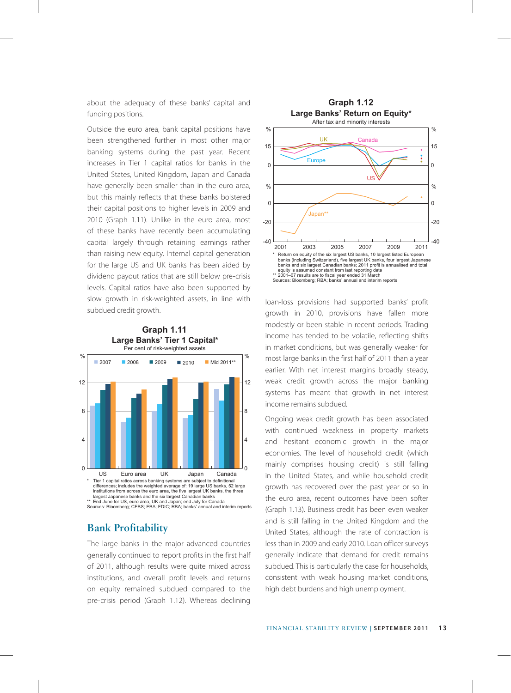about the adequacy of these banks' capital and funding positions.

Outside the euro area, bank capital positions have been strengthened further in most other major banking systems during the past year. Recent increases in Tier 1 capital ratios for banks in the United States, United Kingdom, Japan and Canada have generally been smaller than in the euro area, but this mainly reflects that these banks bolstered their capital positions to higher levels in 2009 and 2010 (Graph 1.11). Unlike in the euro area, most of these banks have recently been accumulating capital largely through retaining earnings rather than raising new equity. Internal capital generation for the large US and UK banks has been aided by dividend payout ratios that are still below pre-crisis levels. Capital ratios have also been supported by slow growth in risk-weighted assets, in line with subdued credit growth.





### **Bank Profitability**

The large banks in the major advanced countries generally continued to report profits in the first half of 2011, although results were quite mixed across institutions, and overall profit levels and returns on equity remained subdued compared to the pre-crisis period (Graph 1.12). Whereas declining



loan-loss provisions had supported banks' profit growth in 2010, provisions have fallen more modestly or been stable in recent periods. Trading income has tended to be volatile, reflecting shifts in market conditions, but was generally weaker for most large banks in the first half of 2011 than a year earlier. With net interest margins broadly steady, weak credit growth across the major banking systems has meant that growth in net interest income remains subdued.

Ongoing weak credit growth has been associated with continued weakness in property markets and hesitant economic growth in the major economies. The level of household credit (which mainly comprises housing credit) is still falling in the United States, and while household credit growth has recovered over the past year or so in the euro area, recent outcomes have been softer (Graph 1.13). Business credit has been even weaker and is still falling in the United Kingdom and the United States, although the rate of contraction is less than in 2009 and early 2010. Loan officer surveys generally indicate that demand for credit remains subdued. This is particularly the case for households, consistent with weak housing market conditions, high debt burdens and high unemployment.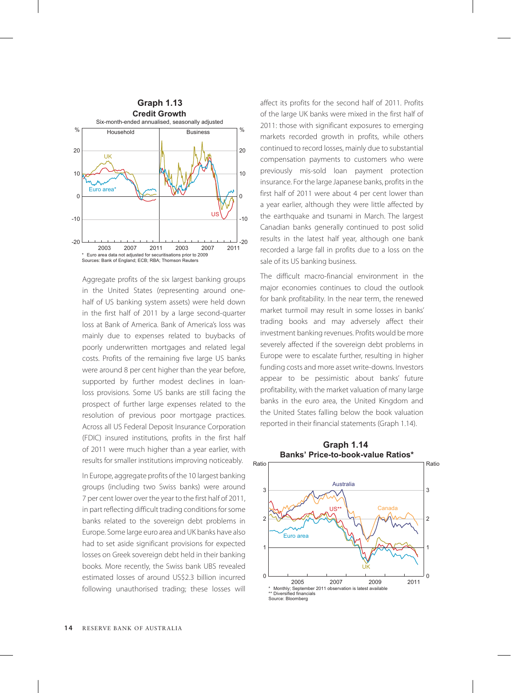

Aggregate profits of the six largest banking groups in the United States (representing around onehalf of US banking system assets) were held down in the first half of 2011 by a large second-quarter loss at Bank of America. Bank of America's loss was mainly due to expenses related to buybacks of poorly underwritten mortgages and related legal costs. Profits of the remaining five large US banks were around 8 per cent higher than the year before, supported by further modest declines in loanloss provisions. Some US banks are still facing the prospect of further large expenses related to the resolution of previous poor mortgage practices. Across all US Federal Deposit Insurance Corporation (FDIC) insured institutions, profits in the first half of 2011 were much higher than a year earlier, with results for smaller institutions improving noticeably.

In Europe, aggregate profits of the 10 largest banking groups (including two Swiss banks) were around 7 per cent lower over the year to the first half of 2011, in part reflecting difficult trading conditions for some banks related to the sovereign debt problems in Europe. Some large euro area and UK banks have also had to set aside significant provisions for expected losses on Greek sovereign debt held in their banking books. More recently, the Swiss bank UBS revealed estimated losses of around US\$2.3 billion incurred following unauthorised trading; these losses will affect its profits for the second half of 2011. Profits of the large UK banks were mixed in the first half of 2011: those with significant exposures to emerging markets recorded growth in profits, while others continued to record losses, mainly due to substantial compensation payments to customers who were previously mis-sold loan payment protection insurance. For the large Japanese banks, profits in the first half of 2011 were about 4 per cent lower than a year earlier, although they were little affected by the earthquake and tsunami in March. The largest Canadian banks generally continued to post solid results in the latest half year, although one bank recorded a large fall in profits due to a loss on the sale of its US banking business.

The difficult macro-financial environment in the major economies continues to cloud the outlook for bank profitability. In the near term, the renewed market turmoil may result in some losses in banks' trading books and may adversely affect their investment banking revenues. Profits would be more severely affected if the sovereign debt problems in Europe were to escalate further, resulting in higher funding costs and more asset write-downs. Investors appear to be pessimistic about banks' future profitability, with the market valuation of many large banks in the euro area, the United Kingdom and the United States falling below the book valuation reported in their financial statements (Graph 1.14).



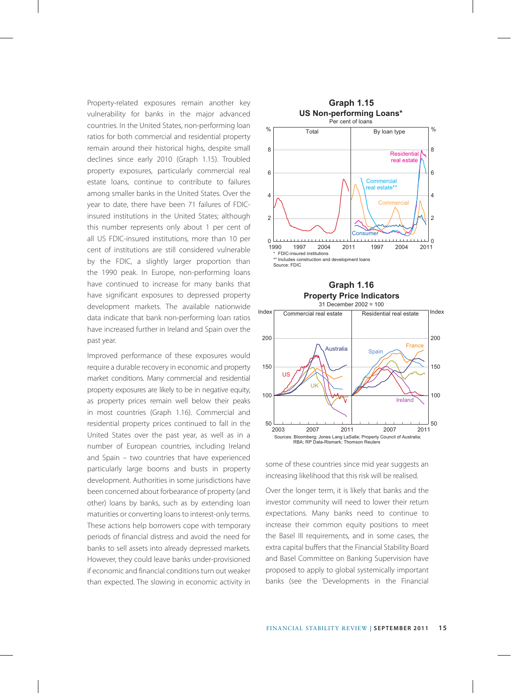Property-related exposures remain another key vulnerability for banks in the major advanced countries. In the United States, non-performing loan ratios for both commercial and residential property remain around their historical highs, despite small declines since early 2010 (Graph 1.15). Troubled property exposures, particularly commercial real estate loans, continue to contribute to failures among smaller banks in the United States. Over the year to date, there have been 71 failures of FDICinsured institutions in the United States; although this number represents only about 1 per cent of all US FDIC-insured institutions, more than 10 per cent of institutions are still considered vulnerable by the FDIC, a slightly larger proportion than the 1990 peak. In Europe, non-performing loans have continued to increase for many banks that have significant exposures to depressed property development markets. The available nationwide data indicate that bank non-performing loan ratios have increased further in Ireland and Spain over the past year.

Improved performance of these exposures would require a durable recovery in economic and property market conditions. Many commercial and residential property exposures are likely to be in negative equity, as property prices remain well below their peaks in most countries (Graph 1.16). Commercial and residential property prices continued to fall in the United States over the past year, as well as in a number of European countries, including Ireland and Spain – two countries that have experienced particularly large booms and busts in property development. Authorities in some jurisdictions have been concerned about forbearance of property (and other) loans by banks, such as by extending loan maturities or converting loans to interest-only terms. These actions help borrowers cope with temporary periods of financial distress and avoid the need for banks to sell assets into already depressed markets. However, they could leave banks under-provisioned if economic and financial conditions turn out weaker than expected. The slowing in economic activity in







some of these countries since mid year suggests an increasing likelihood that this risk will be realised.

Over the longer term, it is likely that banks and the investor community will need to lower their return expectations. Many banks need to continue to increase their common equity positions to meet the Basel III requirements, and in some cases, the extra capital buffers that the Financial Stability Board and Basel Committee on Banking Supervision have proposed to apply to global systemically important banks (see the 'Developments in the Financial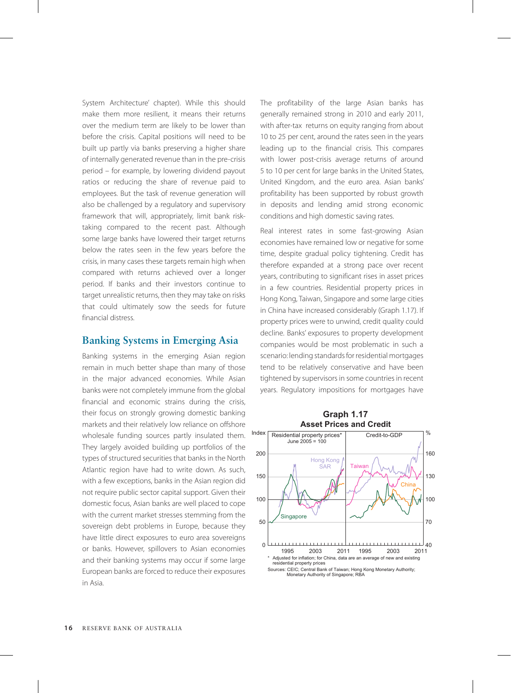System Architecture' chapter). While this should make them more resilient, it means their returns over the medium term are likely to be lower than before the crisis. Capital positions will need to be built up partly via banks preserving a higher share of internally generated revenue than in the pre-crisis period – for example, by lowering dividend payout ratios or reducing the share of revenue paid to employees. But the task of revenue generation will also be challenged by a regulatory and supervisory framework that will, appropriately, limit bank risktaking compared to the recent past. Although some large banks have lowered their target returns below the rates seen in the few years before the crisis, in many cases these targets remain high when compared with returns achieved over a longer period. If banks and their investors continue to target unrealistic returns, then they may take on risks that could ultimately sow the seeds for future financial distress.

#### **Banking Systems in Emerging Asia**

Banking systems in the emerging Asian region remain in much better shape than many of those in the major advanced economies. While Asian banks were not completely immune from the global financial and economic strains during the crisis, their focus on strongly growing domestic banking markets and their relatively low reliance on offshore wholesale funding sources partly insulated them. They largely avoided building up portfolios of the types of structured securities that banks in the North Atlantic region have had to write down. As such, with a few exceptions, banks in the Asian region did not require public sector capital support. Given their domestic focus, Asian banks are well placed to cope with the current market stresses stemming from the sovereign debt problems in Europe, because they have little direct exposures to euro area sovereigns or banks. However, spillovers to Asian economies and their banking systems may occur if some large European banks are forced to reduce their exposures in Asia.

The profitability of the large Asian banks has generally remained strong in 2010 and early 2011, with after-tax returns on equity ranging from about 10 to 25 per cent, around the rates seen in the years leading up to the financial crisis. This compares with lower post-crisis average returns of around 5 to 10 per cent for large banks in the United States, United Kingdom, and the euro area. Asian banks' profitability has been supported by robust growth in deposits and lending amid strong economic conditions and high domestic saving rates.

Real interest rates in some fast-growing Asian economies have remained low or negative for some time, despite gradual policy tightening. Credit has therefore expanded at a strong pace over recent years, contributing to significant rises in asset prices in a few countries. Residential property prices in Hong Kong, Taiwan, Singapore and some large cities in China have increased considerably (Graph 1.17). If property prices were to unwind, credit quality could decline. Banks' exposures to property development companies would be most problematic in such a scenario: lending standards for residential mortgages tend to be relatively conservative and have been tightened by supervisors in some countries in recent years. Regulatory impositions for mortgages have

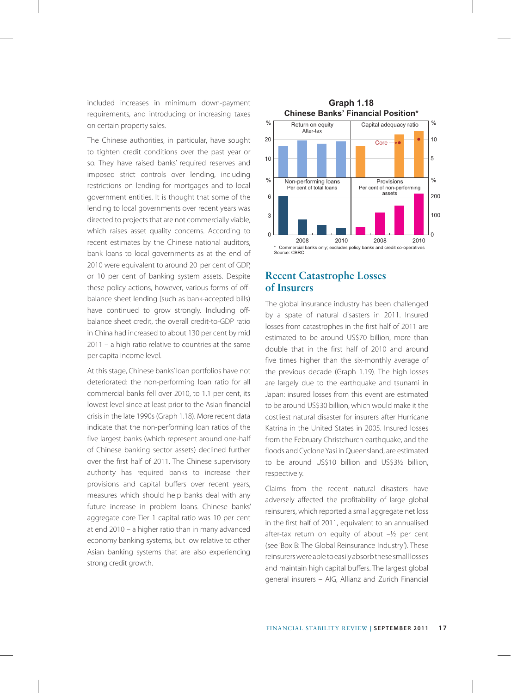included increases in minimum down-payment requirements, and introducing or increasing taxes on certain property sales.

The Chinese authorities, in particular, have sought to tighten credit conditions over the past year or so. They have raised banks' required reserves and imposed strict controls over lending, including restrictions on lending for mortgages and to local government entities. It is thought that some of the lending to local governments over recent years was directed to projects that are not commercially viable, which raises asset quality concerns. According to recent estimates by the Chinese national auditors, bank loans to local governments as at the end of 2010 were equivalent to around 20 per cent of GDP, or 10 per cent of banking system assets. Despite these policy actions, however, various forms of offbalance sheet lending (such as bank-accepted bills) have continued to grow strongly. Including offbalance sheet credit, the overall credit-to-GDP ratio in China had increased to about 130 per cent by mid 2011 – a high ratio relative to countries at the same per capita income level.

At this stage, Chinese banks' loan portfolios have not deteriorated: the non-performing loan ratio for all commercial banks fell over 2010, to 1.1 per cent, its lowest level since at least prior to the Asian financial crisis in the late 1990s (Graph 1.18). More recent data indicate that the non-performing loan ratios of the five largest banks (which represent around one-half of Chinese banking sector assets) declined further over the first half of 2011. The Chinese supervisory authority has required banks to increase their provisions and capital buffers over recent years, measures which should help banks deal with any future increase in problem loans. Chinese banks' aggregate core Tier 1 capital ratio was 10 per cent at end 2010 – a higher ratio than in many advanced economy banking systems, but low relative to other Asian banking systems that are also experiencing strong credit growth.



## **Recent Catastrophe Losses of Insurers**

The global insurance industry has been challenged by a spate of natural disasters in 2011. Insured losses from catastrophes in the first half of 2011 are estimated to be around US\$70 billion, more than double that in the first half of 2010 and around five times higher than the six-monthly average of the previous decade (Graph 1.19). The high losses are largely due to the earthquake and tsunami in Japan: insured losses from this event are estimated to be around US\$30 billion, which would make it the costliest natural disaster for insurers after Hurricane Katrina in the United States in 2005. Insured losses from the February Christchurch earthquake, and the floods and Cyclone Yasi in Queensland, are estimated to be around US\$10 billion and US\$3½ billion, respectively.

Claims from the recent natural disasters have adversely affected the profitability of large global reinsurers, which reported a small aggregate net loss in the first half of 2011, equivalent to an annualised after-tax return on equity of about –½ per cent (see 'Box B: The Global Reinsurance Industry'). These reinsurers were able to easily absorb these small losses and maintain high capital buffers. The largest global general insurers – AIG, Allianz and Zurich Financial